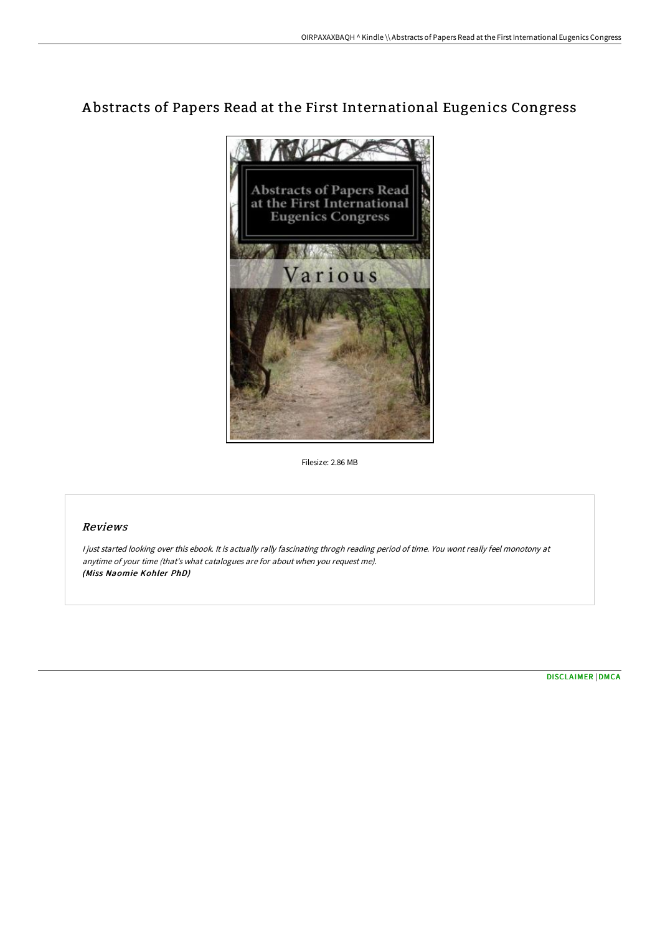# A bstracts of Papers Read at the First International Eugenics Congress



Filesize: 2.86 MB

## Reviews

<sup>I</sup> just started looking over this ebook. It is actually rally fascinating throgh reading period of time. You wont really feel monotony at anytime of your time (that's what catalogues are for about when you request me). (Miss Naomie Kohler PhD)

[DISCLAIMER](http://techno-pub.tech/disclaimer.html) | [DMCA](http://techno-pub.tech/dmca.html)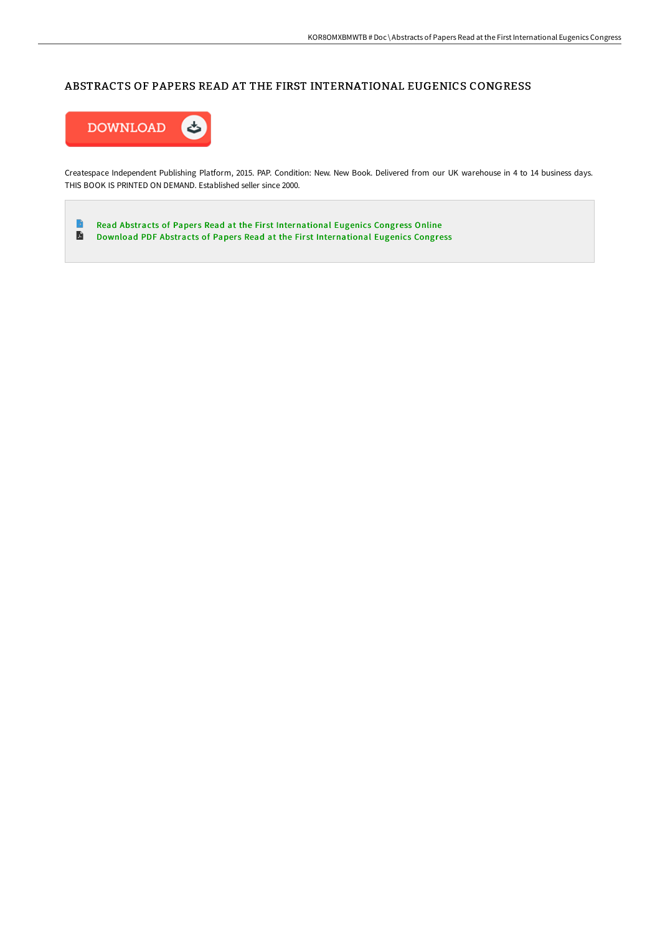# ABSTRACTS OF PAPERS READ AT THE FIRST INTERNATIONAL EUGENICS CONGRESS



Createspace Independent Publishing Platform, 2015. PAP. Condition: New. New Book. Delivered from our UK warehouse in 4 to 14 business days. THIS BOOK IS PRINTED ON DEMAND. Established seller since 2000.

 $\blacksquare$ Read Abstracts of Papers Read at the First [International](http://techno-pub.tech/abstracts-of-papers-read-at-the-first-internatio.html) Eugenics Congress Online  $\blacksquare$ Download PDF Abstracts of Papers Read at the First [International](http://techno-pub.tech/abstracts-of-papers-read-at-the-first-internatio.html) Eugenics Congress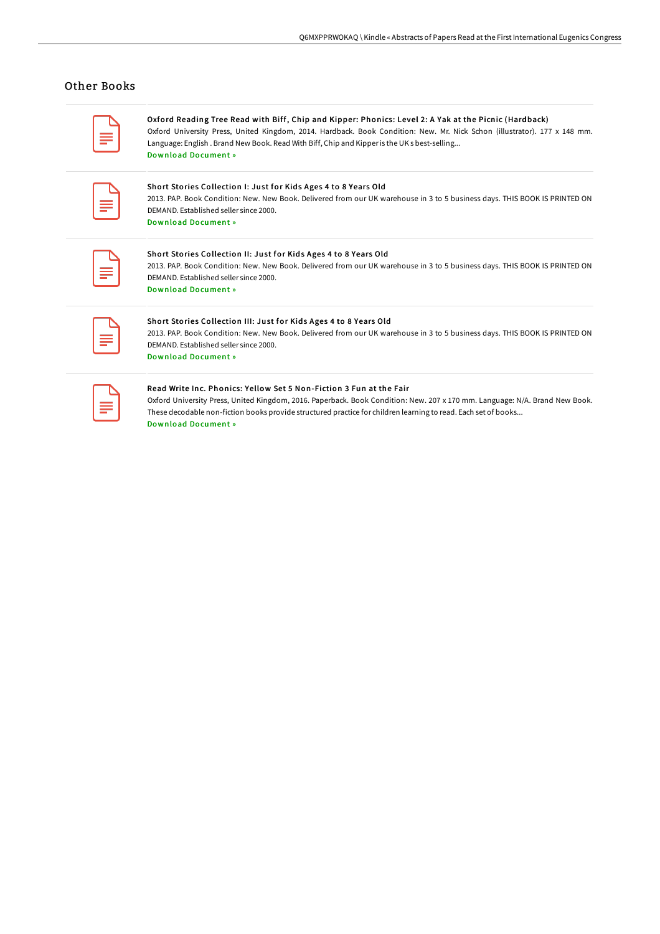## Other Books

| __<br>____<br><b>Service Service</b> |
|--------------------------------------|
|                                      |

Oxford Reading Tree Read with Biff, Chip and Kipper: Phonics: Level 2: A Yak at the Picnic (Hardback) Oxford University Press, United Kingdom, 2014. Hardback. Book Condition: New. Mr. Nick Schon (illustrator). 177 x 148 mm. Language: English . Brand New Book. Read With Biff, Chip and Kipperis the UK s best-selling... Download [Document](http://techno-pub.tech/oxford-reading-tree-read-with-biff-chip-and-kipp-8.html) »

| __      |
|---------|
|         |
| _<br>__ |

#### Short Stories Collection I: Just for Kids Ages 4 to 8 Years Old

2013. PAP. Book Condition: New. New Book. Delivered from our UK warehouse in 3 to 5 business days. THIS BOOK IS PRINTED ON DEMAND. Established seller since 2000. Download [Document](http://techno-pub.tech/short-stories-collection-i-just-for-kids-ages-4-.html) »

| __                                                      |  |
|---------------------------------------------------------|--|
| the control of the control of the control of<br>_______ |  |
|                                                         |  |

## Short Stories Collection II: Just for Kids Ages 4 to 8 Years Old

2013. PAP. Book Condition: New. New Book. Delivered from our UK warehouse in 3 to 5 business days. THIS BOOK IS PRINTED ON DEMAND. Established seller since 2000. Download [Document](http://techno-pub.tech/short-stories-collection-ii-just-for-kids-ages-4.html) »

| __ |
|----|
|    |
| -  |
|    |

## Short Stories Collection III: Just for Kids Ages 4 to 8 Years Old

2013. PAP. Book Condition: New. New Book. Delivered from our UK warehouse in 3 to 5 business days. THIS BOOK IS PRINTED ON DEMAND. Established seller since 2000. Download [Document](http://techno-pub.tech/short-stories-collection-iii-just-for-kids-ages-.html) »

| __ |  |
|----|--|
|    |  |
|    |  |

## Read Write Inc. Phonics: Yellow Set 5 Non-Fiction 3 Fun at the Fair

Oxford University Press, United Kingdom, 2016. Paperback. Book Condition: New. 207 x 170 mm. Language: N/A. Brand New Book. These decodable non-fiction books provide structured practice for children learning to read. Each set of books...

Download [Document](http://techno-pub.tech/read-write-inc-phonics-yellow-set-5-non-fiction--1.html) »